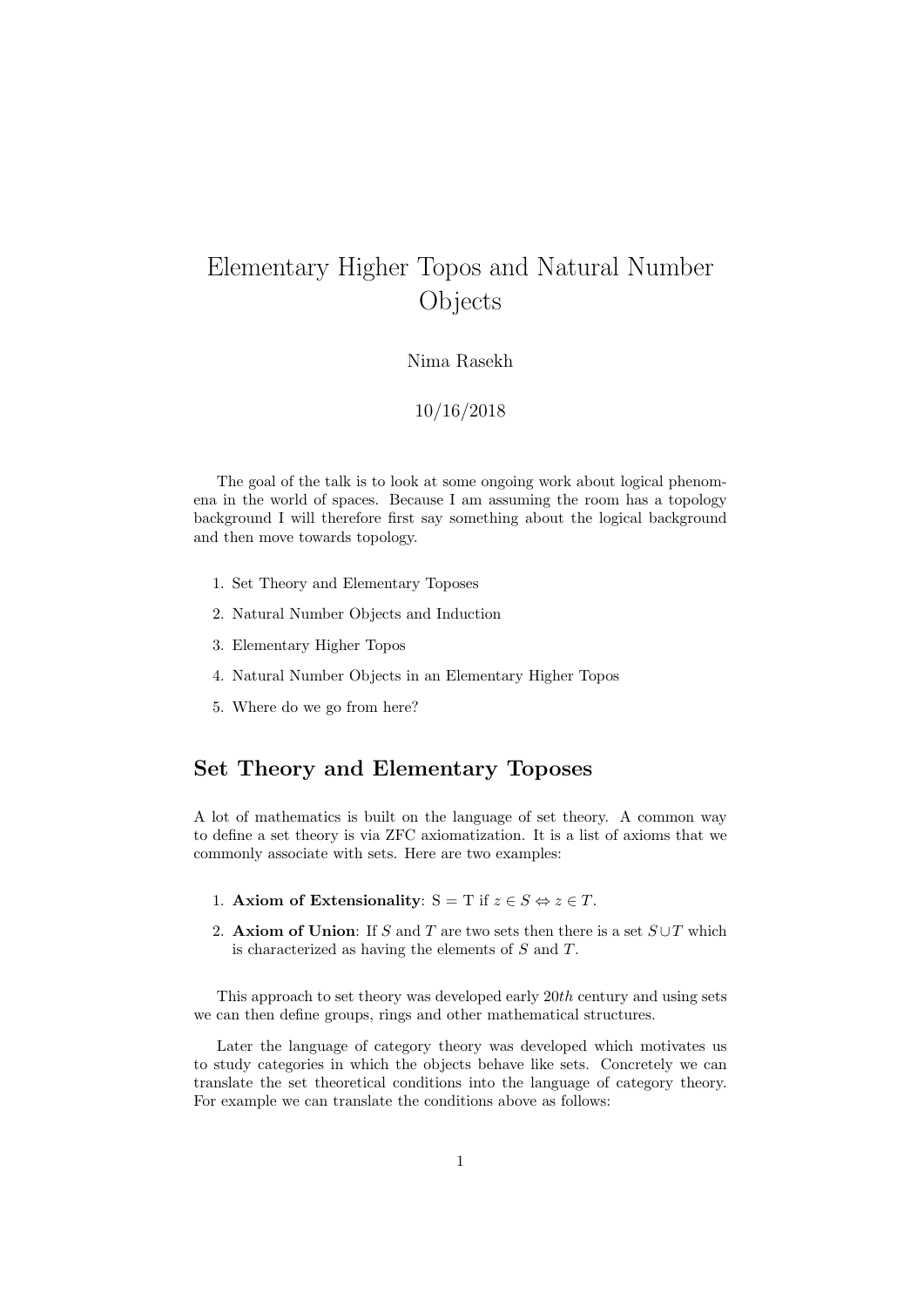# Elementary Higher Topos and Natural Number Objects

Nima Rasekh

### 10/16/2018

The goal of the talk is to look at some ongoing work about logical phenomena in the world of spaces. Because I am assuming the room has a topology background I will therefore first say something about the logical background and then move towards topology.

- 1. Set Theory and Elementary Toposes
- 2. Natural Number Objects and Induction
- 3. Elementary Higher Topos
- 4. Natural Number Objects in an Elementary Higher Topos
- 5. Where do we go from here?

### Set Theory and Elementary Toposes

A lot of mathematics is built on the language of set theory. A common way to define a set theory is via ZFC axiomatization. It is a list of axioms that we commonly associate with sets. Here are two examples:

- 1. Axiom of Extensionality:  $S = T$  if  $z \in S \Leftrightarrow z \in T$ .
- 2. Axiom of Union: If S and T are two sets then there is a set  $S \cup T$  which is characterized as having the elements of S and T.

This approach to set theory was developed early 20th century and using sets we can then define groups, rings and other mathematical structures.

Later the language of category theory was developed which motivates us to study categories in which the objects behave like sets. Concretely we can translate the set theoretical conditions into the language of category theory. For example we can translate the conditions above as follows: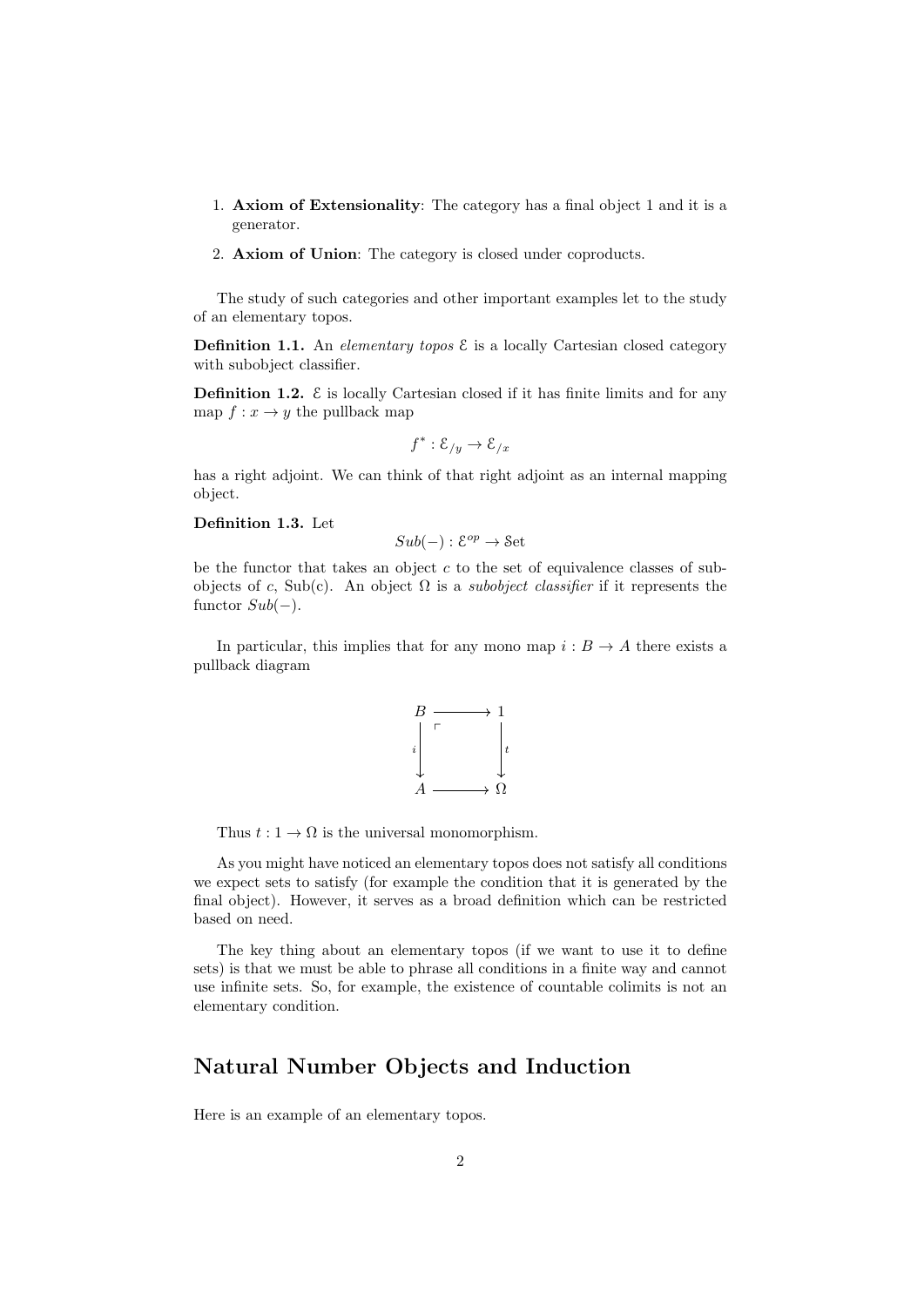- 1. Axiom of Extensionality: The category has a final object 1 and it is a generator.
- 2. Axiom of Union: The category is closed under coproducts.

The study of such categories and other important examples let to the study of an elementary topos.

**Definition 1.1.** An *elementary topos*  $\mathcal{E}$  is a locally Cartesian closed category with subobject classifier.

**Definition 1.2.**  $\epsilon$  is locally Cartesian closed if it has finite limits and for any map  $f: x \to y$  the pullback map

$$
f^* : \mathcal{E}_{/y} \to \mathcal{E}_{/x}
$$

has a right adjoint. We can think of that right adjoint as an internal mapping object.

#### Definition 1.3. Let

$$
Sub(-): \mathcal{E}^{op} \to \mathcal{S}\mathrm{et}
$$

be the functor that takes an object  $c$  to the set of equivalence classes of subobjects of c, Sub(c). An object  $\Omega$  is a *subobject classifier* if it represents the functor  $Sub(-)$ .

In particular, this implies that for any mono map  $i : B \to A$  there exists a pullback diagram



Thus  $t: 1 \to \Omega$  is the universal monomorphism.

As you might have noticed an elementary topos does not satisfy all conditions we expect sets to satisfy (for example the condition that it is generated by the final object). However, it serves as a broad definition which can be restricted based on need.

The key thing about an elementary topos (if we want to use it to define sets) is that we must be able to phrase all conditions in a finite way and cannot use infinite sets. So, for example, the existence of countable colimits is not an elementary condition.

### Natural Number Objects and Induction

Here is an example of an elementary topos.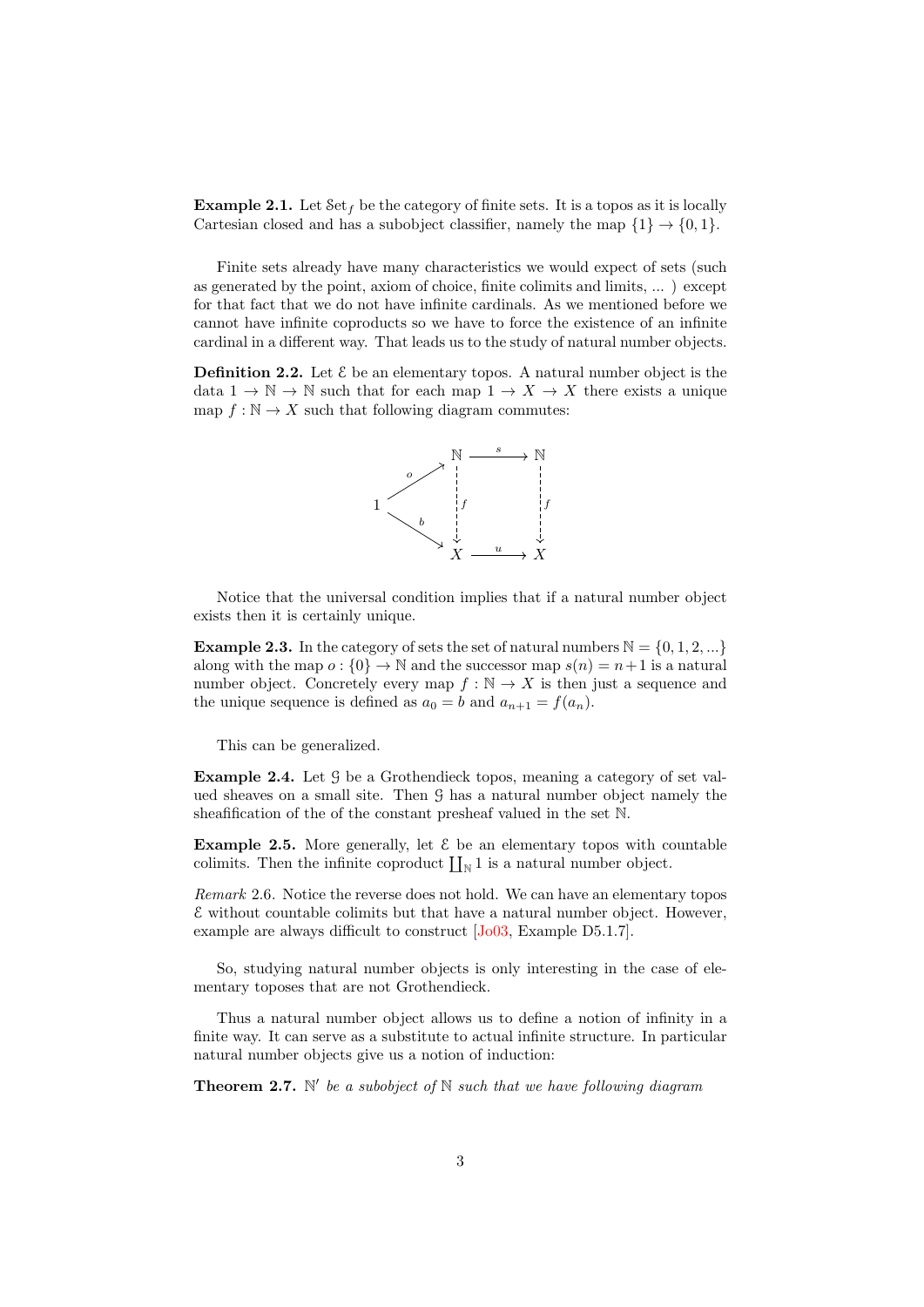**Example 2.1.** Let  $\text{Set}_f$  be the category of finite sets. It is a topos as it is locally Cartesian closed and has a subobject classifier, namely the map  $\{1\} \rightarrow \{0, 1\}$ .

Finite sets already have many characteristics we would expect of sets (such as generated by the point, axiom of choice, finite colimits and limits, ... ) except for that fact that we do not have infinite cardinals. As we mentioned before we cannot have infinite coproducts so we have to force the existence of an infinite cardinal in a different way. That leads us to the study of natural number objects.

**Definition 2.2.** Let  $\mathcal{E}$  be an elementary topos. A natural number object is the data  $1 \to \mathbb{N} \to \mathbb{N}$  such that for each map  $1 \to X \to X$  there exists a unique map  $f : \mathbb{N} \to X$  such that following diagram commutes:



Notice that the universal condition implies that if a natural number object exists then it is certainly unique.

**Example 2.3.** In the category of sets the set of natural numbers  $\mathbb{N} = \{0, 1, 2, ...\}$ along with the map  $o: \{0\} \to \mathbb{N}$  and the successor map  $s(n) = n+1$  is a natural number object. Concretely every map  $f : \mathbb{N} \to X$  is then just a sequence and the unique sequence is defined as  $a_0 = b$  and  $a_{n+1} = f(a_n)$ .

This can be generalized.

Example 2.4. Let G be a Grothendieck topos, meaning a category of set valued sheaves on a small site. Then G has a natural number object namely the sheafification of the of the constant presheaf valued in the set N.

**Example 2.5.** More generally, let  $\mathcal{E}$  be an elementary topos with countable colimits. Then the infinite coproduct  $\prod_{N} 1$  is a natural number object.

Remark 2.6. Notice the reverse does not hold. We can have an elementary topos  $\mathcal E$  without countable colimits but that have a natural number object. However, example are always difficult to construct [\[Jo03,](#page-6-0) Example D5.1.7].

So, studying natural number objects is only interesting in the case of elementary toposes that are not Grothendieck.

Thus a natural number object allows us to define a notion of infinity in a finite way. It can serve as a substitute to actual infinite structure. In particular natural number objects give us a notion of induction:

**Theorem 2.7.**  $\mathbb{N}'$  be a subobject of  $\mathbb{N}$  such that we have following diagram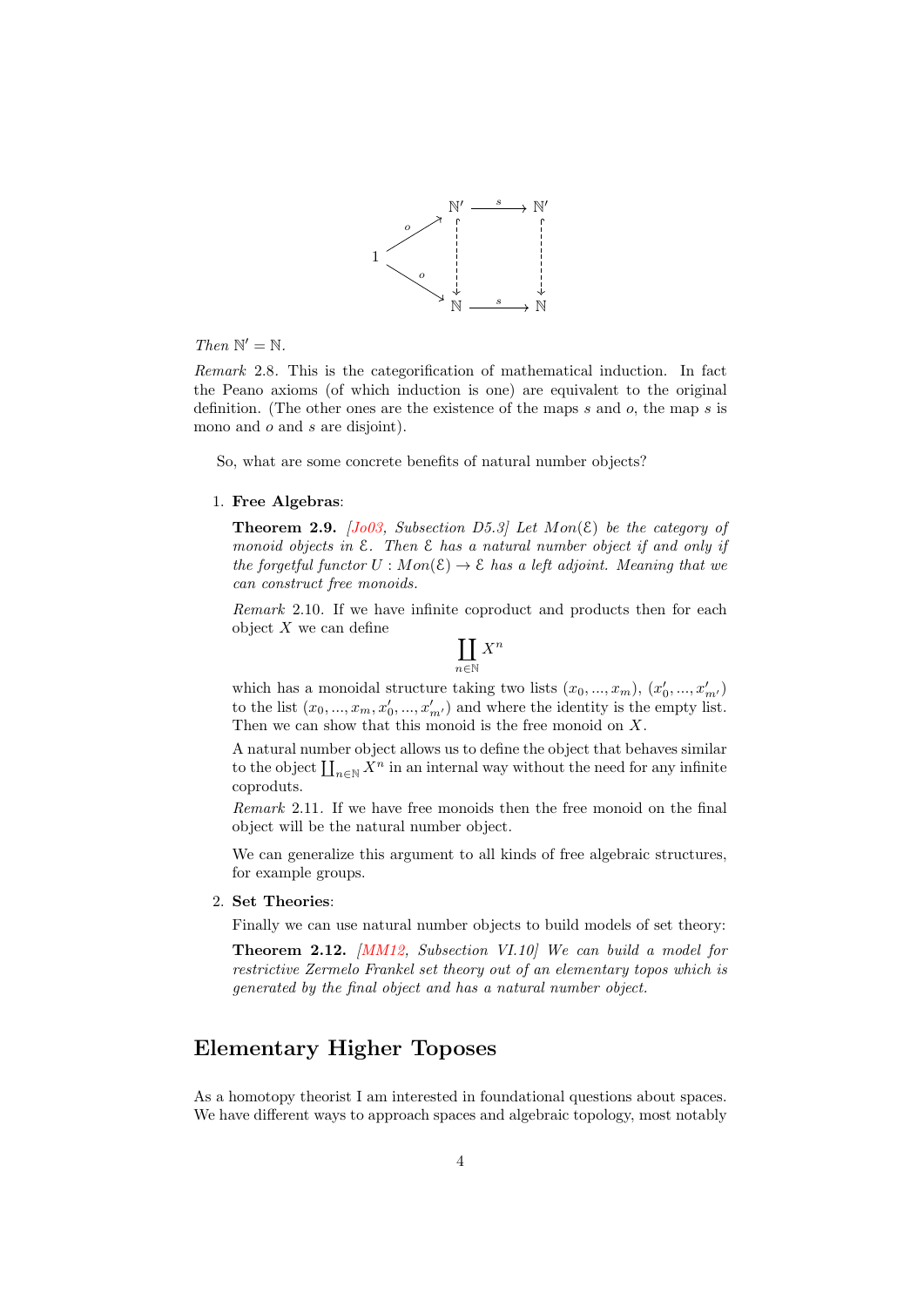

Then  $\mathbb{N}' = \mathbb{N}$ .

Remark 2.8. This is the categorification of mathematical induction. In fact the Peano axioms (of which induction is one) are equivalent to the original definition. (The other ones are the existence of the maps s and o, the map s is mono and  $o$  and  $s$  are disjoint).

So, what are some concrete benefits of natural number objects?

#### 1. Free Algebras:

**Theorem 2.9.** [\[Jo03,](#page-6-0) Subsection D5.3] Let  $Mon(\mathcal{E})$  be the category of monoid objects in  $\mathcal E$ . Then  $\mathcal E$  has a natural number object if and only if the forgetful functor  $U : Mon(\mathcal{E}) \to \mathcal{E}$  has a left adjoint. Meaning that we can construct free monoids.

Remark 2.10. If we have infinite coproduct and products then for each object  $X$  we can define

$$
\coprod_{n\in\mathbb{N}} X^n
$$

which has a monoidal structure taking two lists  $(x_0, ..., x_m)$ ,  $(x'_0, ..., x'_{m'})$ to the list  $(x_0, ..., x_m, x'_0, ..., x'_{m'})$  and where the identity is the empty list. Then we can show that this monoid is the free monoid on X.

A natural number object allows us to define the object that behaves similar to the object  $\coprod_{n\in\mathbb{N}} X^n$  in an internal way without the need for any infinite coproduts.

Remark 2.11. If we have free monoids then the free monoid on the final object will be the natural number object.

We can generalize this argument to all kinds of free algebraic structures, for example groups.

#### 2. Set Theories:

Finally we can use natural number objects to build models of set theory:

Theorem 2.12. [\[MM12,](#page-6-1) Subsection VI.10] We can build a model for restrictive Zermelo Frankel set theory out of an elementary topos which is generated by the final object and has a natural number object.

### Elementary Higher Toposes

As a homotopy theorist I am interested in foundational questions about spaces. We have different ways to approach spaces and algebraic topology, most notably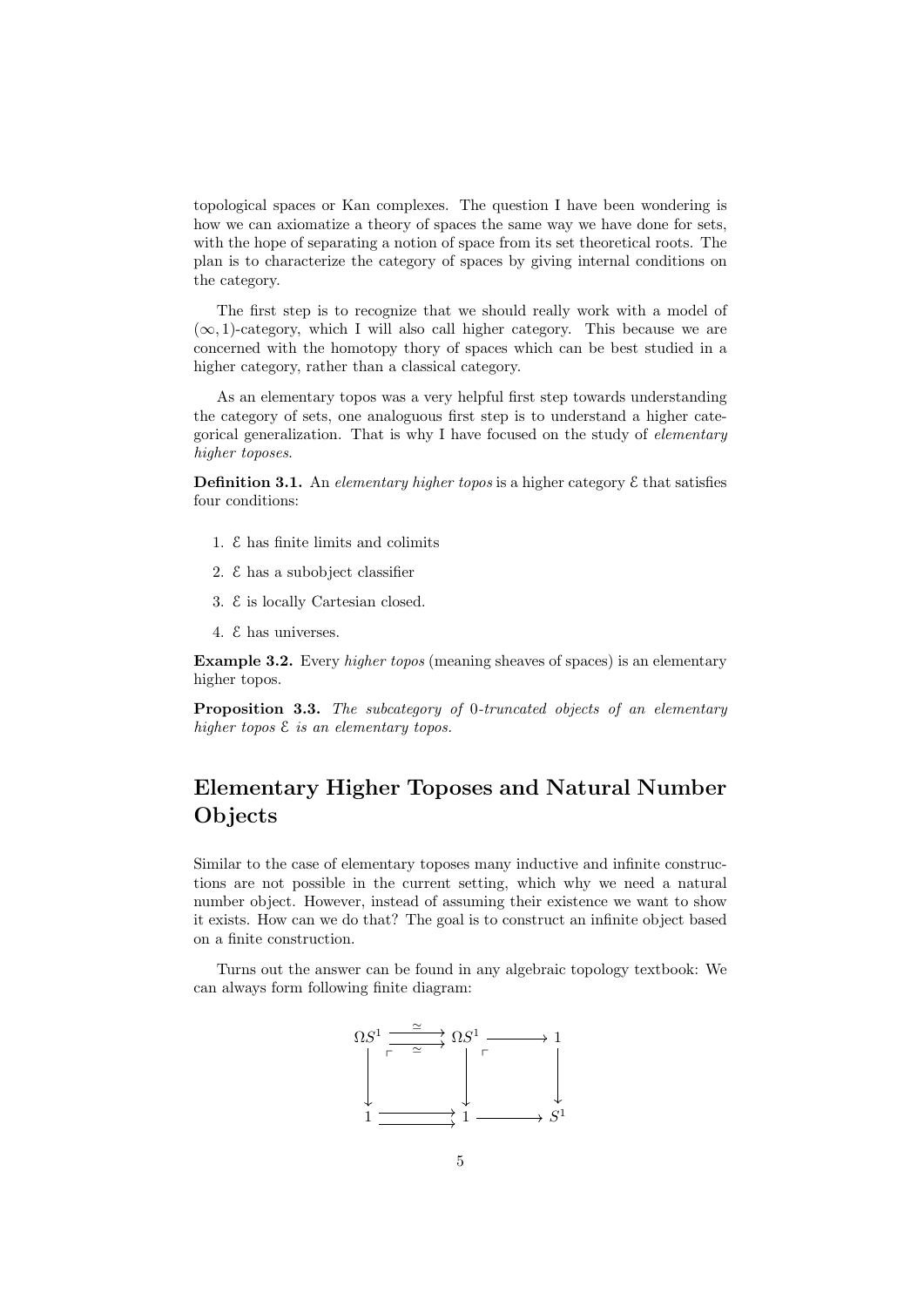topological spaces or Kan complexes. The question I have been wondering is how we can axiomatize a theory of spaces the same way we have done for sets, with the hope of separating a notion of space from its set theoretical roots. The plan is to characterize the category of spaces by giving internal conditions on the category.

The first step is to recognize that we should really work with a model of  $(\infty, 1)$ -category, which I will also call higher category. This because we are concerned with the homotopy thory of spaces which can be best studied in a higher category, rather than a classical category.

As an elementary topos was a very helpful first step towards understanding the category of sets, one analoguous first step is to understand a higher categorical generalization. That is why I have focused on the study of elementary higher toposes.

**Definition 3.1.** An elementary higher topos is a higher category  $\epsilon$  that satisfies four conditions:

- 1. E has finite limits and colimits
- 2. E has a subobject classifier
- 3. E is locally Cartesian closed.
- 4. E has universes.

Example 3.2. Every higher topos (meaning sheaves of spaces) is an elementary higher topos.

Proposition 3.3. The subcategory of 0-truncated objects of an elementary higher topos  $\mathcal E$  is an elementary topos.

## Elementary Higher Toposes and Natural Number **Objects**

Similar to the case of elementary toposes many inductive and infinite constructions are not possible in the current setting, which why we need a natural number object. However, instead of assuming their existence we want to show it exists. How can we do that? The goal is to construct an infinite object based on a finite construction.

Turns out the answer can be found in any algebraic topology textbook: We can always form following finite diagram:

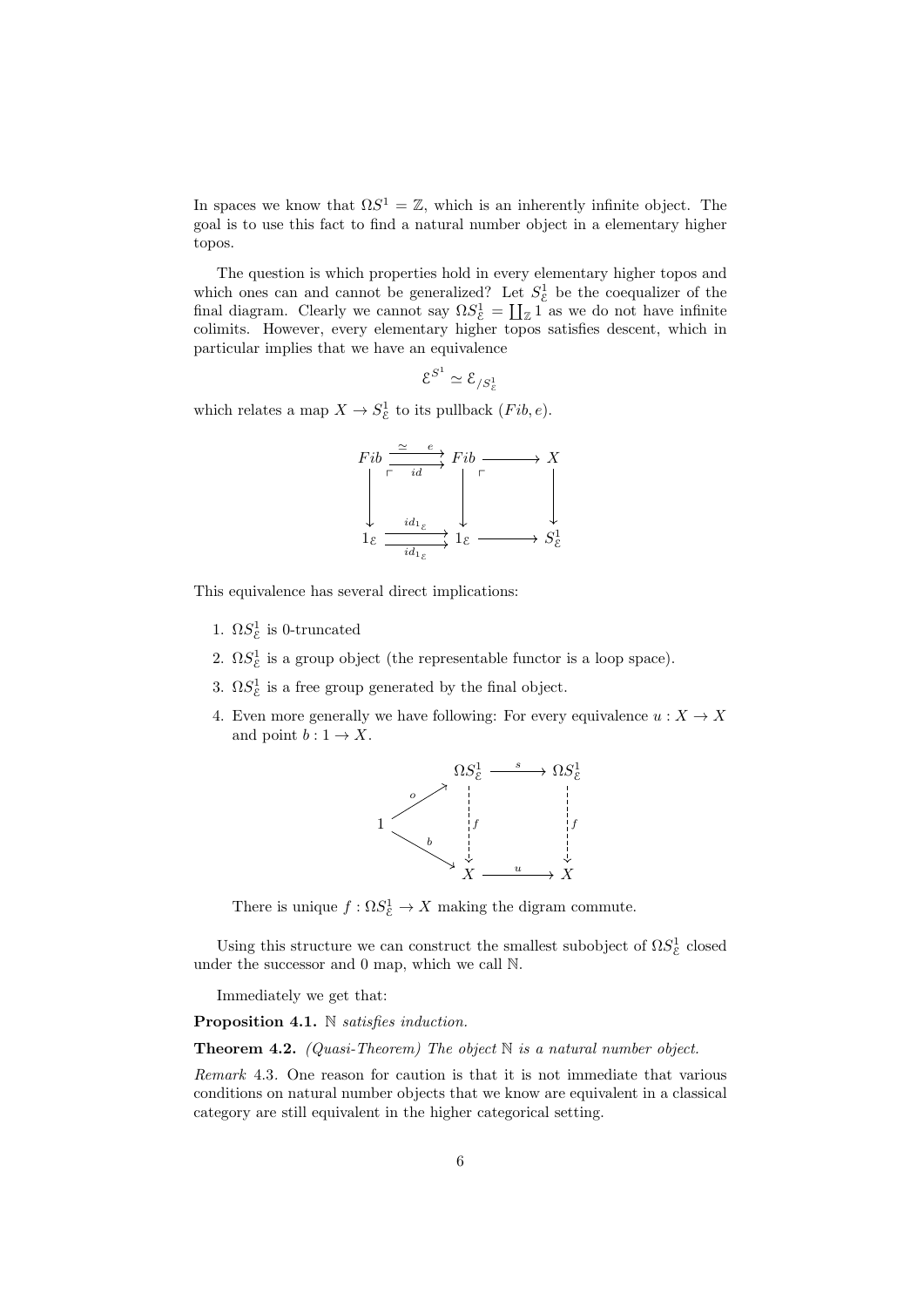In spaces we know that  $\Omega S^1 = \mathbb{Z}$ , which is an inherently infinite object. The goal is to use this fact to find a natural number object in a elementary higher topos.

The question is which properties hold in every elementary higher topos and which ones can and cannot be generalized? Let  $S_{\varepsilon}^1$  be the coequalizer of the final diagram. Clearly we cannot say  $\Omega S_{\varepsilon}^1 = \coprod_{\mathbb{Z}} 1$  as we do not have infinite colimits. However, every elementary higher topos satisfies descent, which in particular implies that we have an equivalence

$$
\mathcal{E}^{S^1}\simeq \mathcal{E}_{/S^1_{\mathcal{E}}}
$$

which relates a map  $X \to S^1_{\mathcal{E}}$  to its pullback  $(Fib, e)$ .



This equivalence has several direct implications:

- 1.  $\Omega S_{\mathcal{E}}^1$  is 0-truncated
- 2.  $\Omega S_{\mathcal{E}}^1$  is a group object (the representable functor is a loop space).
- 3.  $\Omega S_{\mathcal{E}}^1$  is a free group generated by the final object.
- 4. Even more generally we have following: For every equivalence  $u: X \to X$ and point  $b: 1 \rightarrow X$ .



There is unique  $f : \Omega S^1_{\mathcal{E}} \to X$  making the digram commute.

Using this structure we can construct the smallest subobject of  $\Omega S^1_{\mathcal{E}}$  closed under the successor and 0 map, which we call N.

Immediately we get that:

Proposition 4.1. N satisfies induction.

**Theorem 4.2.** (Quasi-Theorem) The object  $\mathbb N$  is a natural number object.

Remark 4.3. One reason for caution is that it is not immediate that various conditions on natural number objects that we know are equivalent in a classical category are still equivalent in the higher categorical setting.